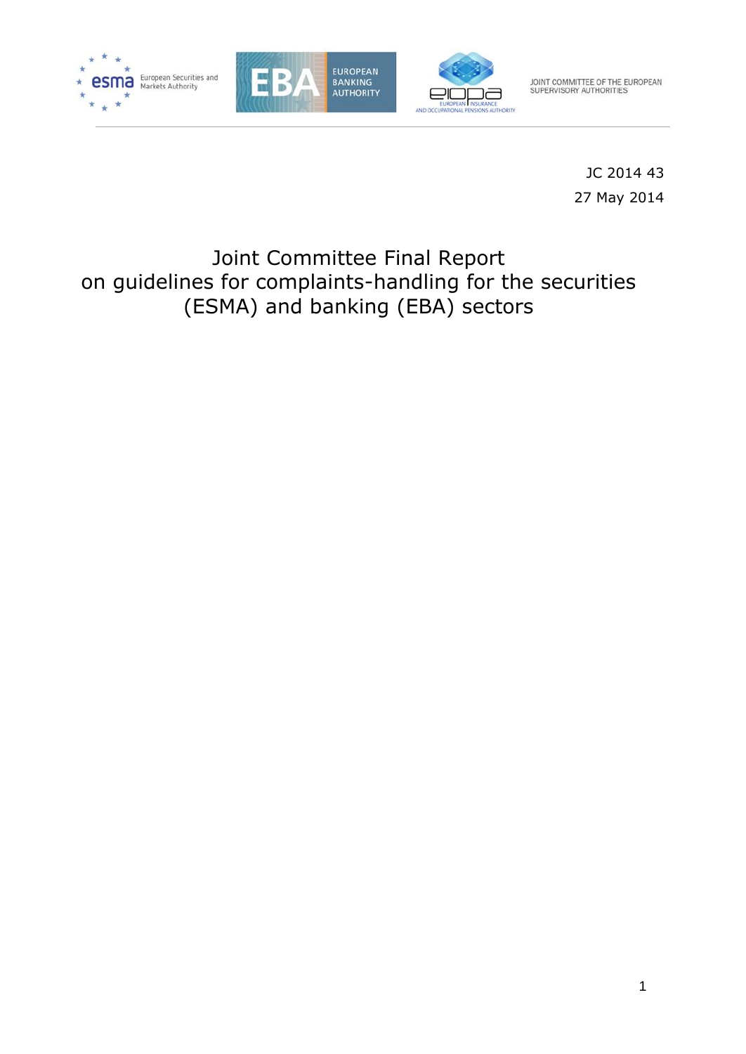





JOINT COMMITTEE OF THE EUROPEAN<br>SUPERVISORY AUTHORITIES

JC 2014 43 27 May 2014

# Joint Committee Final Report on guidelines for complaints-handling for the securities (ESMA) and banking (EBA) sectors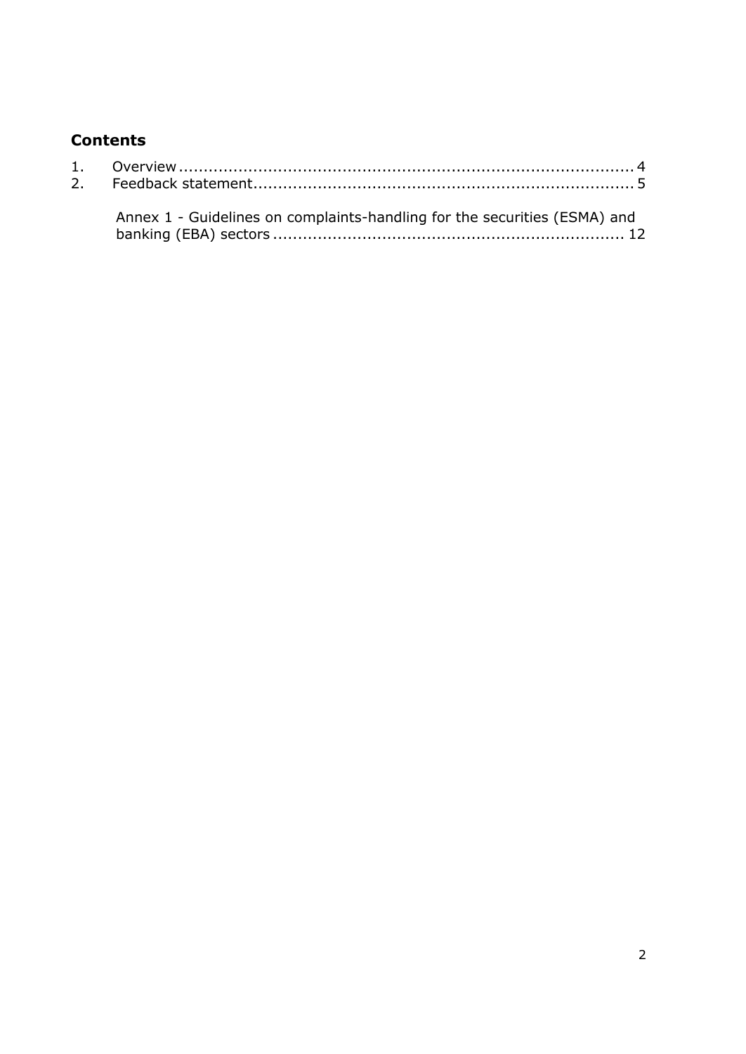# **Contents**

| Annex 1 - Guidelines on complaints-handling for the securities (ESMA) and |
|---------------------------------------------------------------------------|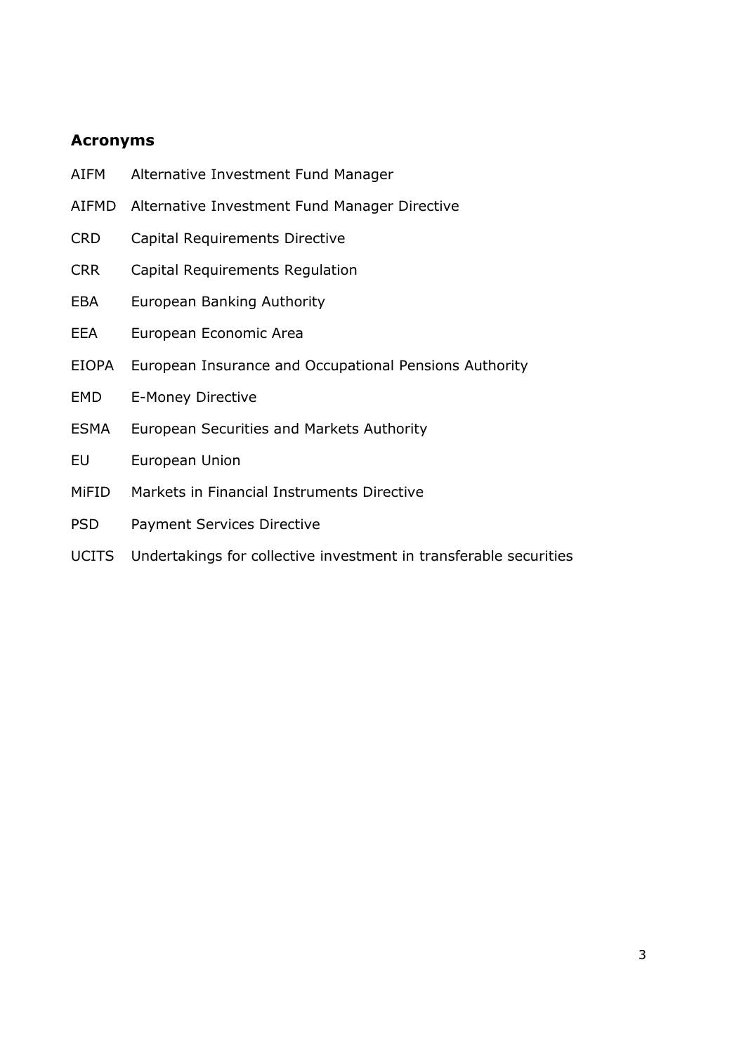# **Acronyms**

- AIFM Alternative Investment Fund Manager
- AIFMD Alternative Investment Fund Manager Directive
- CRD Capital Requirements Directive
- CRR Capital Requirements Regulation
- EBA European Banking Authority
- EEA European Economic Area
- EIOPA European Insurance and Occupational Pensions Authority
- EMD E-Money Directive
- ESMA European Securities and Markets Authority
- EU European Union
- MiFID Markets in Financial Instruments Directive
- PSD Payment Services Directive
- UCITS Undertakings for collective investment in transferable securities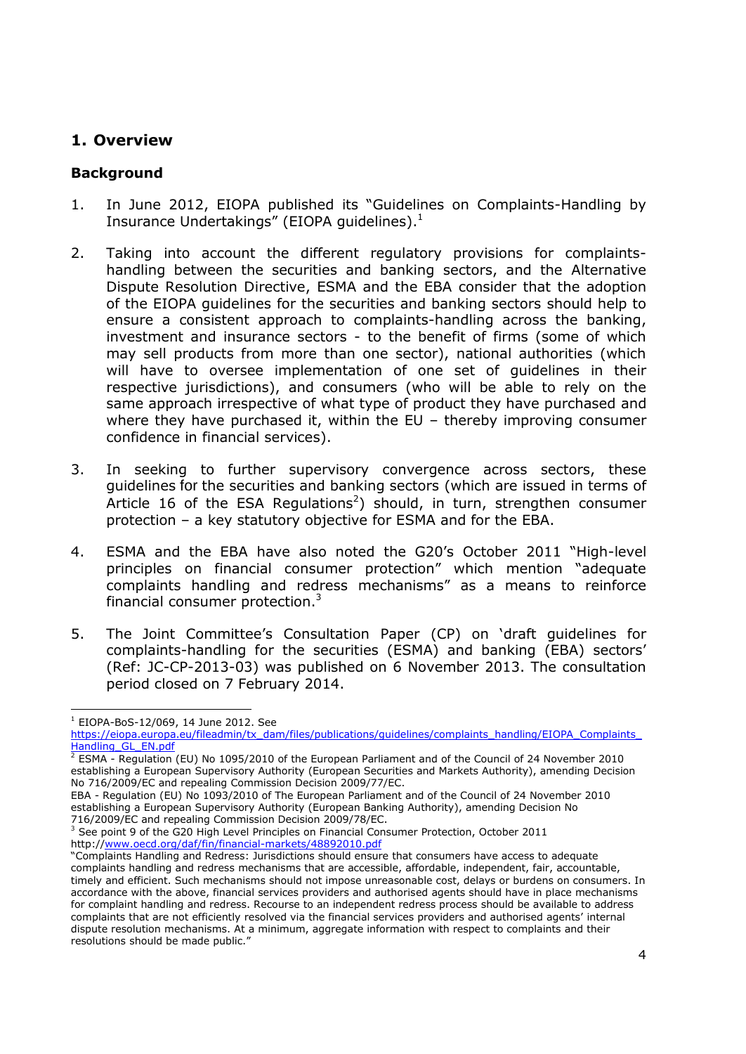# <span id="page-3-0"></span>**1. Overview**

# **Background**

- 1. In June 2012, EIOPA published its "Guidelines on Complaints-Handling by Insurance Undertakings" (EIOPA guidelines).<sup>1</sup>
- 2. Taking into account the different regulatory provisions for complaintshandling between the securities and banking sectors, and the Alternative Dispute Resolution Directive, ESMA and the EBA consider that the adoption of the EIOPA guidelines for the securities and banking sectors should help to ensure a consistent approach to complaints-handling across the banking, investment and insurance sectors - to the benefit of firms (some of which may sell products from more than one sector), national authorities (which will have to oversee implementation of one set of guidelines in their respective jurisdictions), and consumers (who will be able to rely on the same approach irrespective of what type of product they have purchased and where they have purchased it, within the EU – thereby improving consumer confidence in financial services).
- 3. In seeking to further supervisory convergence across sectors, these guidelines for the securities and banking sectors (which are issued in terms of Article 16 of the ESA Regulations<sup>2</sup>) should, in turn, strengthen consumer protection – a key statutory objective for ESMA and for the EBA.
- 4. ESMA and the EBA have also noted the G20's October 2011 "High-level principles on financial consumer protection" which mention "adequate complaints handling and redress mechanisms" as a means to reinforce financial consumer protection.<sup>3</sup>
- 5. The Joint Committee's Consultation Paper (CP) on 'draft guidelines for complaints-handling for the securities (ESMA) and banking (EBA) sectors' (Ref: JC-CP-2013-03) was published on 6 November 2013. The consultation period closed on 7 February 2014.

-

EBA - Regulation (EU) No 1093/2010 of The European Parliament and of the Council of 24 November 2010 establishing a European Supervisory Authority (European Banking Authority), amending Decision No 716/2009/EC and repealing Commission Decision 2009/78/EC.

<sup>1</sup> EIOPA-BoS-12/069, 14 June 2012. See

[https://eiopa.europa.eu/fileadmin/tx\\_dam/files/publications/guidelines/complaints\\_handling/EIOPA\\_Complaints\\_](https://eiopa.europa.eu/fileadmin/tx_dam/files/publications/guidelines/complaints_handling/EIOPA_Complaints_Handling_GL_EN.pdf) [Handling\\_GL\\_EN.pdf](https://eiopa.europa.eu/fileadmin/tx_dam/files/publications/guidelines/complaints_handling/EIOPA_Complaints_Handling_GL_EN.pdf)

<sup>2</sup> ESMA - Regulation (EU) No 1095/2010 of the European Parliament and of the Council of 24 November 2010 establishing a European Supervisory Authority (European Securities and Markets Authority), amending Decision No 716/2009/EC and repealing Commission Decision 2009/77/EC.

 $3$  See point 9 of the G20 High Level Principles on Financial Consumer Protection, October 2011 http:/[/www.oecd.org/daf/fin/financial-markets/48892010.pdf](http://www.oecd.org/daf/fin/financial-markets/48892010.pdf)

<sup>&</sup>quot;Complaints Handling and Redress: Jurisdictions should ensure that consumers have access to adequate complaints handling and redress mechanisms that are accessible, affordable, independent, fair, accountable, timely and efficient. Such mechanisms should not impose unreasonable cost, delays or burdens on consumers. In accordance with the above, financial services providers and authorised agents should have in place mechanisms for complaint handling and redress. Recourse to an independent redress process should be available to address complaints that are not efficiently resolved via the financial services providers and authorised agents' internal dispute resolution mechanisms. At a minimum, aggregate information with respect to complaints and their resolutions should be made public."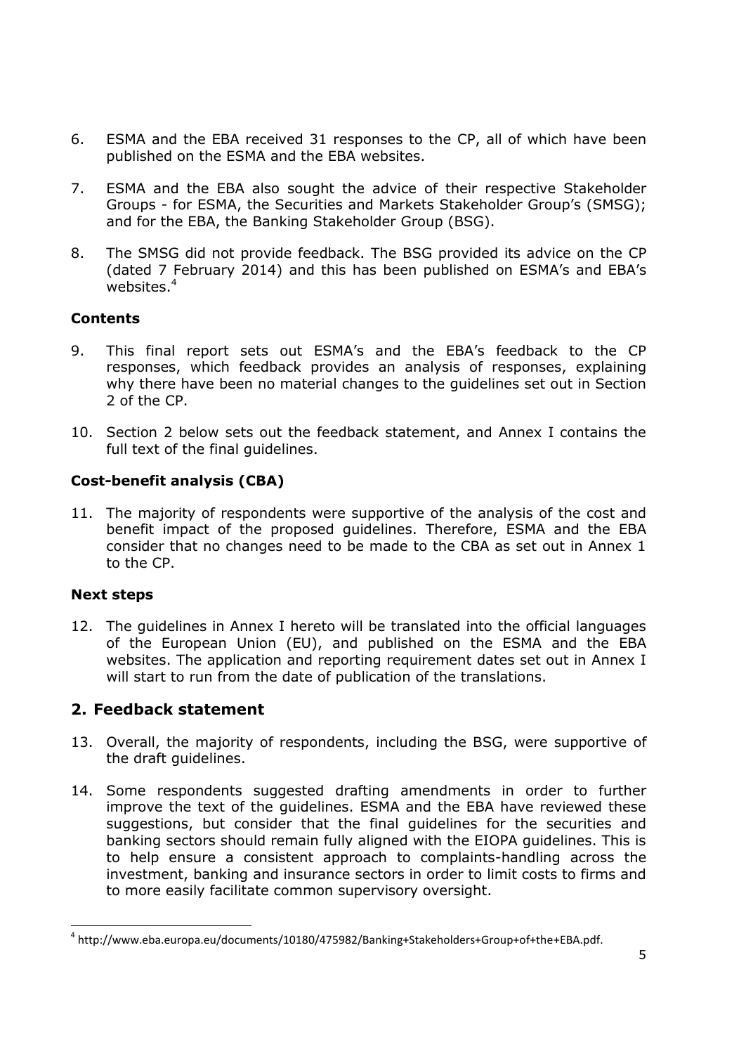- 6. ESMA and the EBA received 31 responses to the CP, all of which have been published on the ESMA and the EBA websites.
- 7. ESMA and the EBA also sought the advice of their respective Stakeholder Groups - for ESMA, the Securities and Markets Stakeholder Group's (SMSG); and for the EBA, the Banking Stakeholder Group (BSG).
- 8. The SMSG did not provide feedback. The BSG provided its advice on the CP (dated 7 February 2014) and this has been published on ESMA's and EBA's websites. 4

# **Contents**

- 9. This final report sets out ESMA's and the EBA's feedback to the CP responses, which feedback provides an analysis of responses, explaining why there have been no material changes to the guidelines set out in Section 2 of the CP.
- 10. Section 2 below sets out the feedback statement, and Annex I contains the full text of the final guidelines.

# **Cost-benefit analysis (CBA)**

11. The majority of respondents were supportive of the analysis of the cost and benefit impact of the proposed guidelines. Therefore, ESMA and the EBA consider that no changes need to be made to the CBA as set out in Annex 1 to the CP.

# **Next steps**

-

12. The guidelines in Annex I hereto will be translated into the official languages of the European Union (EU), and published on the ESMA and the EBA websites. The application and reporting requirement dates set out in Annex I will start to run from the date of publication of the translations.

# <span id="page-4-0"></span>**2. Feedback statement**

- 13. Overall, the majority of respondents, including the BSG, were supportive of the draft guidelines.
- 14. Some respondents suggested drafting amendments in order to further improve the text of the guidelines. ESMA and the EBA have reviewed these suggestions, but consider that the final guidelines for the securities and banking sectors should remain fully aligned with the EIOPA guidelines. This is to help ensure a consistent approach to complaints-handling across the investment, banking and insurance sectors in order to limit costs to firms and to more easily facilitate common supervisory oversight.

<sup>4</sup> http://www.eba.europa.eu/documents/10180/475982/Banking+Stakeholders+Group+of+the+EBA.pdf.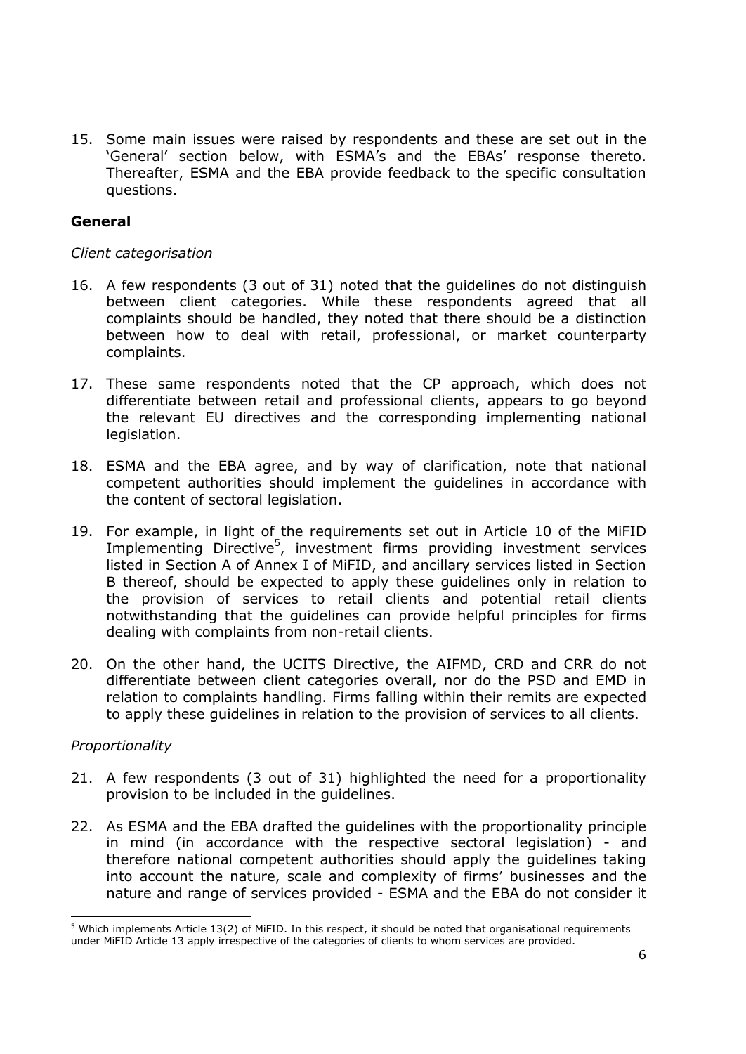15. Some main issues were raised by respondents and these are set out in the 'General' section below, with ESMA's and the EBAs' response thereto. Thereafter, ESMA and the EBA provide feedback to the specific consultation questions.

### **General**

#### *Client categorisation*

- 16. A few respondents (3 out of 31) noted that the guidelines do not distinguish between client categories. While these respondents agreed that all complaints should be handled, they noted that there should be a distinction between how to deal with retail, professional, or market counterparty complaints.
- 17. These same respondents noted that the CP approach, which does not differentiate between retail and professional clients, appears to go beyond the relevant EU directives and the corresponding implementing national legislation.
- 18. ESMA and the EBA agree, and by way of clarification, note that national competent authorities should implement the guidelines in accordance with the content of sectoral legislation.
- 19. For example, in light of the requirements set out in Article 10 of the MiFID Implementing Directive<sup>5</sup>, investment firms providing investment services listed in Section A of Annex I of MiFID, and ancillary services listed in Section B thereof, should be expected to apply these guidelines only in relation to the provision of services to retail clients and potential retail clients notwithstanding that the guidelines can provide helpful principles for firms dealing with complaints from non-retail clients.
- 20. On the other hand, the UCITS Directive, the AIFMD, CRD and CRR do not differentiate between client categories overall, nor do the PSD and EMD in relation to complaints handling. Firms falling within their remits are expected to apply these guidelines in relation to the provision of services to all clients.

#### *Proportionality*

-

- 21. A few respondents (3 out of 31) highlighted the need for a proportionality provision to be included in the guidelines.
- 22. As ESMA and the EBA drafted the guidelines with the proportionality principle in mind (in accordance with the respective sectoral legislation) - and therefore national competent authorities should apply the guidelines taking into account the nature, scale and complexity of firms' businesses and the nature and range of services provided - ESMA and the EBA do not consider it

 $5$  Which implements Article 13(2) of MiFID. In this respect, it should be noted that organisational requirements under MiFID Article 13 apply irrespective of the categories of clients to whom services are provided.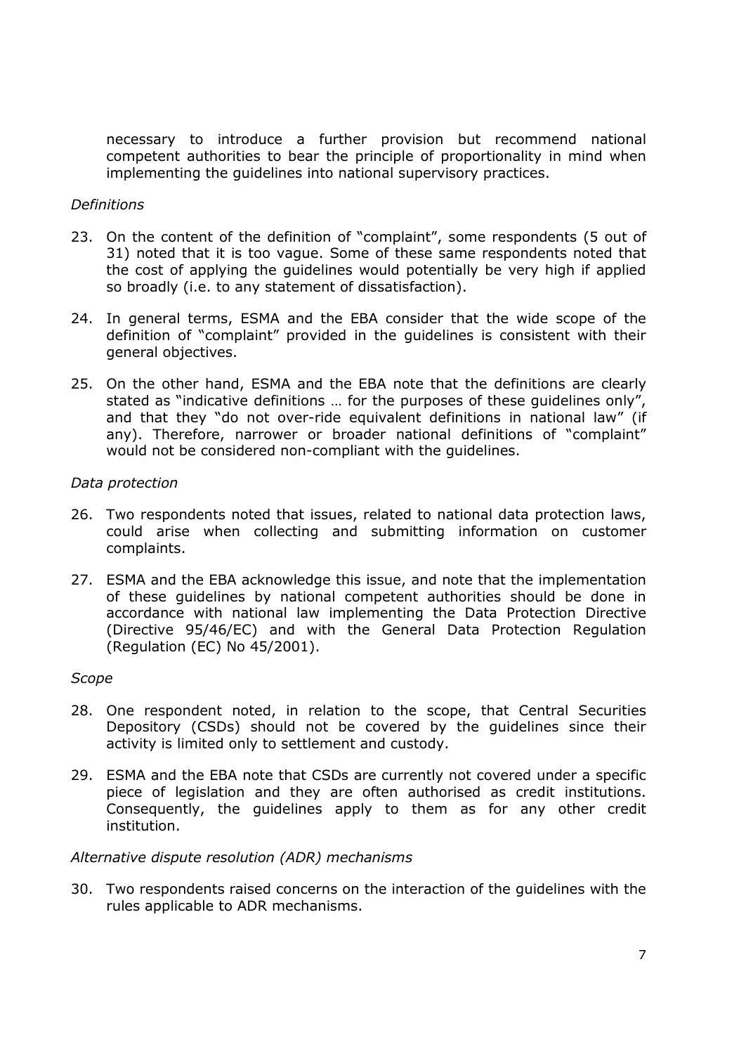necessary to introduce a further provision but recommend national competent authorities to bear the principle of proportionality in mind when implementing the guidelines into national supervisory practices.

#### *Definitions*

- 23. On the content of the definition of "complaint", some respondents (5 out of 31) noted that it is too vague. Some of these same respondents noted that the cost of applying the guidelines would potentially be very high if applied so broadly (i.e. to any statement of dissatisfaction).
- 24. In general terms, ESMA and the EBA consider that the wide scope of the definition of "complaint" provided in the guidelines is consistent with their general objectives.
- 25. On the other hand, ESMA and the EBA note that the definitions are clearly stated as "indicative definitions … for the purposes of these guidelines only", and that they "do not over-ride equivalent definitions in national law" (if any). Therefore, narrower or broader national definitions of "complaint" would not be considered non-compliant with the guidelines.

### *Data protection*

- 26. Two respondents noted that issues, related to national data protection laws, could arise when collecting and submitting information on customer complaints.
- 27. ESMA and the EBA acknowledge this issue, and note that the implementation of these guidelines by national competent authorities should be done in accordance with national law implementing the Data Protection Directive (Directive 95/46/EC) and with the General Data Protection Regulation (Regulation (EC) No 45/2001).

# *Scope*

- 28. One respondent noted, in relation to the scope, that Central Securities Depository (CSDs) should not be covered by the guidelines since their activity is limited only to settlement and custody.
- 29. ESMA and the EBA note that CSDs are currently not covered under a specific piece of legislation and they are often authorised as credit institutions. Consequently, the guidelines apply to them as for any other credit institution.

# *Alternative dispute resolution (ADR) mechanisms*

30. Two respondents raised concerns on the interaction of the guidelines with the rules applicable to ADR mechanisms.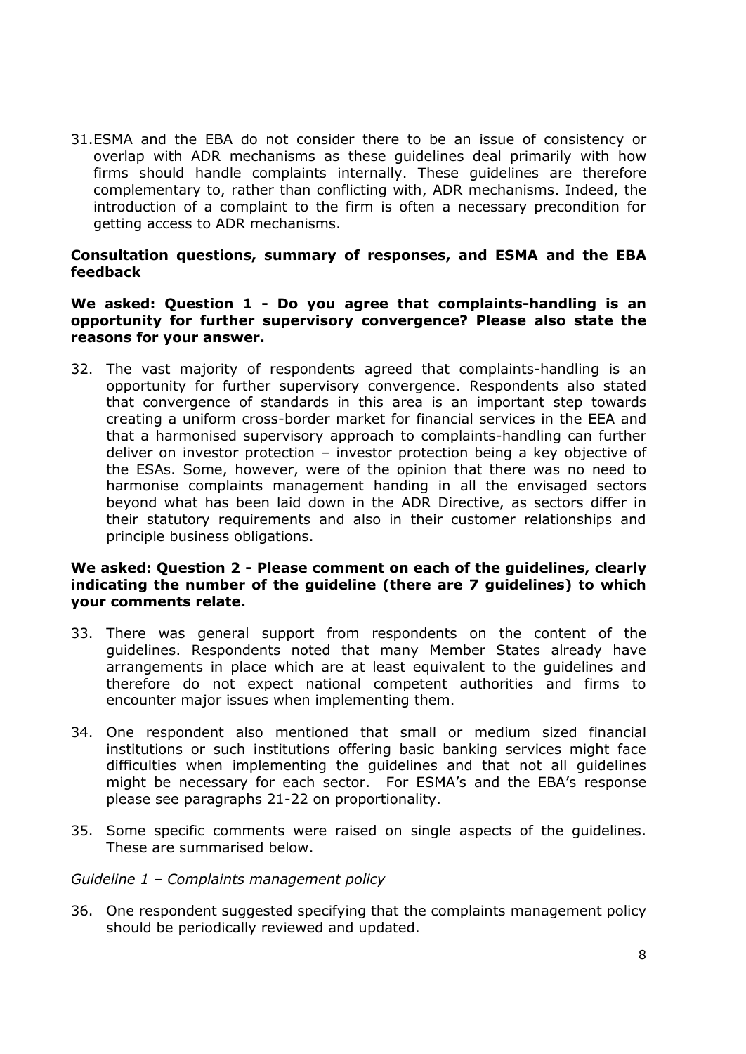31.ESMA and the EBA do not consider there to be an issue of consistency or overlap with ADR mechanisms as these guidelines deal primarily with how firms should handle complaints internally. These guidelines are therefore complementary to, rather than conflicting with, ADR mechanisms. Indeed, the introduction of a complaint to the firm is often a necessary precondition for getting access to ADR mechanisms.

#### **Consultation questions, summary of responses, and ESMA and the EBA feedback**

#### **We asked: Question 1 - Do you agree that complaints-handling is an opportunity for further supervisory convergence? Please also state the reasons for your answer.**

32. The vast majority of respondents agreed that complaints-handling is an opportunity for further supervisory convergence. Respondents also stated that convergence of standards in this area is an important step towards creating a uniform cross-border market for financial services in the EEA and that a harmonised supervisory approach to complaints-handling can further deliver on investor protection – investor protection being a key objective of the ESAs. Some, however, were of the opinion that there was no need to harmonise complaints management handing in all the envisaged sectors beyond what has been laid down in the ADR Directive, as sectors differ in their statutory requirements and also in their customer relationships and principle business obligations.

### **We asked: Question 2 - Please comment on each of the guidelines, clearly indicating the number of the guideline (there are 7 guidelines) to which your comments relate.**

- 33. There was general support from respondents on the content of the guidelines. Respondents noted that many Member States already have arrangements in place which are at least equivalent to the guidelines and therefore do not expect national competent authorities and firms to encounter major issues when implementing them.
- 34. One respondent also mentioned that small or medium sized financial institutions or such institutions offering basic banking services might face difficulties when implementing the guidelines and that not all guidelines might be necessary for each sector. For ESMA's and the EBA's response please see paragraphs 21-22 on proportionality.
- 35. Some specific comments were raised on single aspects of the guidelines. These are summarised below.

#### *Guideline 1 – Complaints management policy*

36. One respondent suggested specifying that the complaints management policy should be periodically reviewed and updated.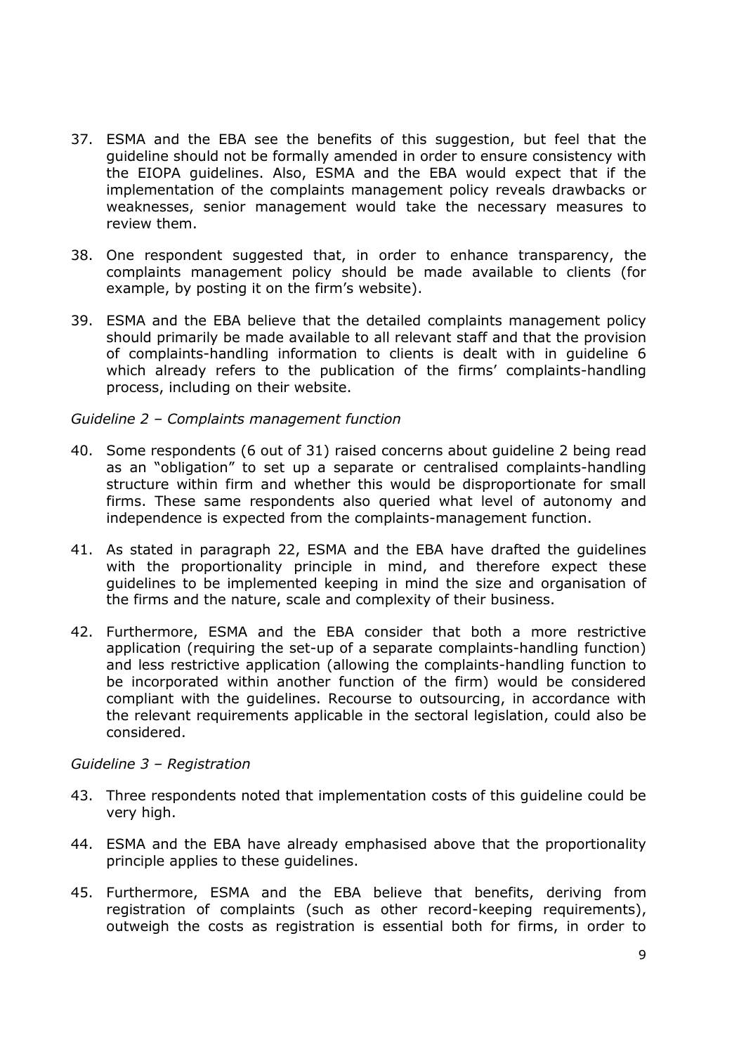- 37. ESMA and the EBA see the benefits of this suggestion, but feel that the guideline should not be formally amended in order to ensure consistency with the EIOPA guidelines. Also, ESMA and the EBA would expect that if the implementation of the complaints management policy reveals drawbacks or weaknesses, senior management would take the necessary measures to review them.
- 38. One respondent suggested that, in order to enhance transparency, the complaints management policy should be made available to clients (for example, by posting it on the firm's website).
- 39. ESMA and the EBA believe that the detailed complaints management policy should primarily be made available to all relevant staff and that the provision of complaints-handling information to clients is dealt with in guideline 6 which already refers to the publication of the firms' complaints-handling process, including on their website.

#### *Guideline 2 – Complaints management function*

- 40. Some respondents (6 out of 31) raised concerns about guideline 2 being read as an "obligation" to set up a separate or centralised complaints-handling structure within firm and whether this would be disproportionate for small firms. These same respondents also queried what level of autonomy and independence is expected from the complaints-management function.
- 41. As stated in paragraph 22, ESMA and the EBA have drafted the guidelines with the proportionality principle in mind, and therefore expect these guidelines to be implemented keeping in mind the size and organisation of the firms and the nature, scale and complexity of their business.
- 42. Furthermore, ESMA and the EBA consider that both a more restrictive application (requiring the set-up of a separate complaints-handling function) and less restrictive application (allowing the complaints-handling function to be incorporated within another function of the firm) would be considered compliant with the guidelines. Recourse to outsourcing, in accordance with the relevant requirements applicable in the sectoral legislation, could also be considered.

#### *Guideline 3 – Registration*

- 43. Three respondents noted that implementation costs of this guideline could be very high.
- 44. ESMA and the EBA have already emphasised above that the proportionality principle applies to these guidelines.
- 45. Furthermore, ESMA and the EBA believe that benefits, deriving from registration of complaints (such as other record-keeping requirements), outweigh the costs as registration is essential both for firms, in order to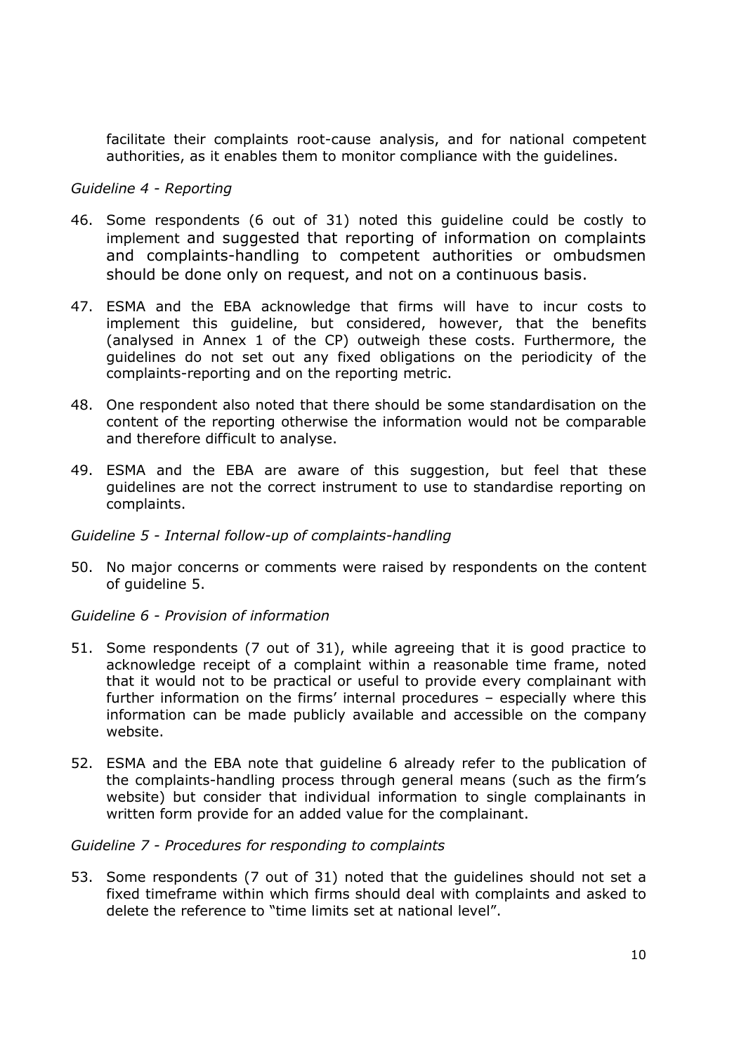facilitate their complaints root-cause analysis, and for national competent authorities, as it enables them to monitor compliance with the guidelines.

#### *Guideline 4 - Reporting*

- 46. Some respondents (6 out of 31) noted this guideline could be costly to implement and suggested that reporting of information on complaints and complaints-handling to competent authorities or ombudsmen should be done only on request, and not on a continuous basis.
- 47. ESMA and the EBA acknowledge that firms will have to incur costs to implement this guideline, but considered, however, that the benefits (analysed in Annex 1 of the CP) outweigh these costs. Furthermore, the guidelines do not set out any fixed obligations on the periodicity of the complaints-reporting and on the reporting metric.
- 48. One respondent also noted that there should be some standardisation on the content of the reporting otherwise the information would not be comparable and therefore difficult to analyse.
- 49. ESMA and the EBA are aware of this suggestion, but feel that these guidelines are not the correct instrument to use to standardise reporting on complaints.

#### *Guideline 5 - Internal follow-up of complaints-handling*

50. No major concerns or comments were raised by respondents on the content of guideline 5.

#### *Guideline 6 - Provision of information*

- 51. Some respondents (7 out of 31), while agreeing that it is good practice to acknowledge receipt of a complaint within a reasonable time frame, noted that it would not to be practical or useful to provide every complainant with further information on the firms' internal procedures – especially where this information can be made publicly available and accessible on the company website.
- 52. ESMA and the EBA note that guideline 6 already refer to the publication of the complaints-handling process through general means (such as the firm's website) but consider that individual information to single complainants in written form provide for an added value for the complainant.

#### *Guideline 7 - Procedures for responding to complaints*

53. Some respondents (7 out of 31) noted that the guidelines should not set a fixed timeframe within which firms should deal with complaints and asked to delete the reference to "time limits set at national level".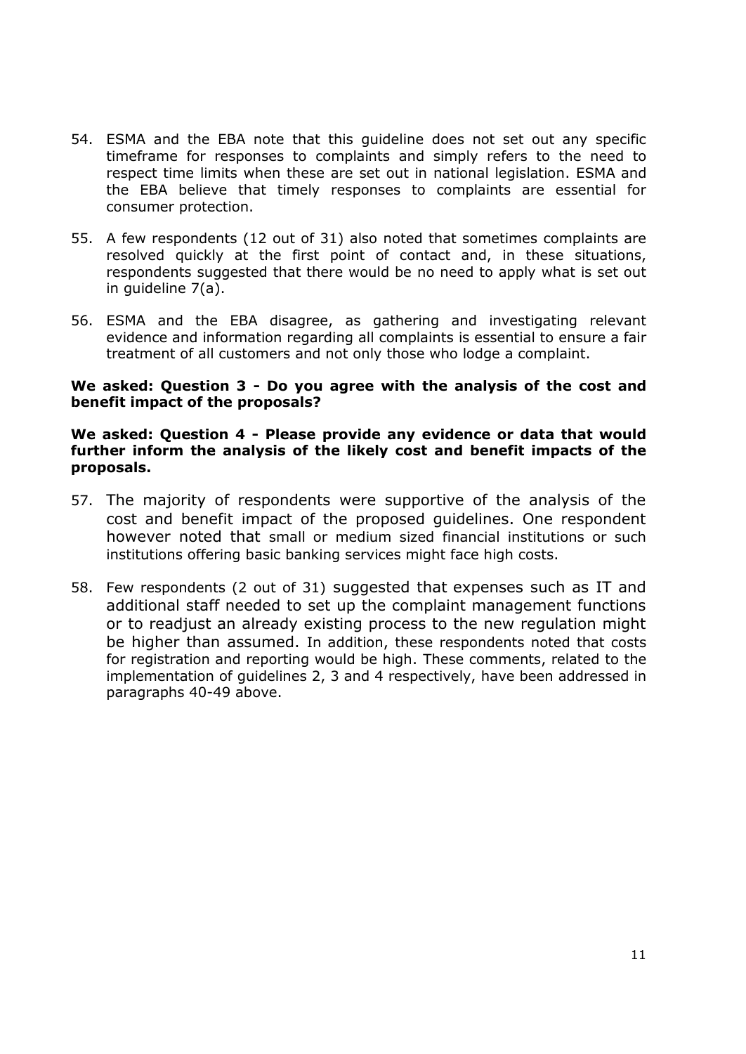- 54. ESMA and the EBA note that this guideline does not set out any specific timeframe for responses to complaints and simply refers to the need to respect time limits when these are set out in national legislation. ESMA and the EBA believe that timely responses to complaints are essential for consumer protection.
- 55. A few respondents (12 out of 31) also noted that sometimes complaints are resolved quickly at the first point of contact and, in these situations, respondents suggested that there would be no need to apply what is set out in guideline 7(a).
- 56. ESMA and the EBA disagree, as gathering and investigating relevant evidence and information regarding all complaints is essential to ensure a fair treatment of all customers and not only those who lodge a complaint.

### **We asked: Question 3 - Do you agree with the analysis of the cost and benefit impact of the proposals?**

### **We asked: Question 4 - Please provide any evidence or data that would further inform the analysis of the likely cost and benefit impacts of the proposals.**

- 57. The majority of respondents were supportive of the analysis of the cost and benefit impact of the proposed guidelines. One respondent however noted that small or medium sized financial institutions or such institutions offering basic banking services might face high costs.
- 58. Few respondents (2 out of 31) suggested that expenses such as IT and additional staff needed to set up the complaint management functions or to readjust an already existing process to the new regulation might be higher than assumed. In addition, these respondents noted that costs for registration and reporting would be high. These comments, related to the implementation of guidelines 2, 3 and 4 respectively, have been addressed in paragraphs 40-49 above.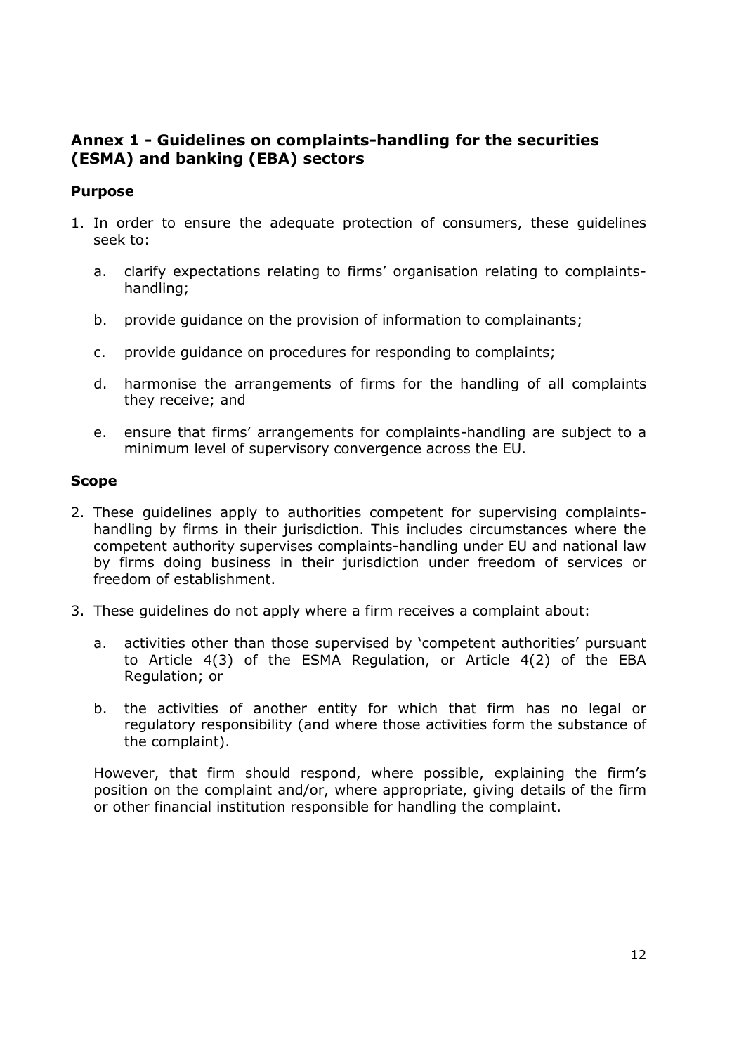# <span id="page-11-0"></span>**Annex 1 - Guidelines on complaints-handling for the securities (ESMA) and banking (EBA) sectors**

# **Purpose**

- 1. In order to ensure the adequate protection of consumers, these guidelines seek to:
	- a. clarify expectations relating to firms' organisation relating to complaintshandling;
	- b. provide guidance on the provision of information to complainants;
	- c. provide guidance on procedures for responding to complaints;
	- d. harmonise the arrangements of firms for the handling of all complaints they receive; and
	- e. ensure that firms' arrangements for complaints-handling are subject to a minimum level of supervisory convergence across the EU.

### **Scope**

- 2. These guidelines apply to authorities competent for supervising complaintshandling by firms in their jurisdiction. This includes circumstances where the competent authority supervises complaints-handling under EU and national law by firms doing business in their jurisdiction under freedom of services or freedom of establishment.
- 3. These guidelines do not apply where a firm receives a complaint about:
	- a. activities other than those supervised by 'competent authorities' pursuant to Article 4(3) of the ESMA Regulation, or Article 4(2) of the EBA Regulation; or
	- b. the activities of another entity for which that firm has no legal or regulatory responsibility (and where those activities form the substance of the complaint).

However, that firm should respond, where possible, explaining the firm's position on the complaint and/or, where appropriate, giving details of the firm or other financial institution responsible for handling the complaint.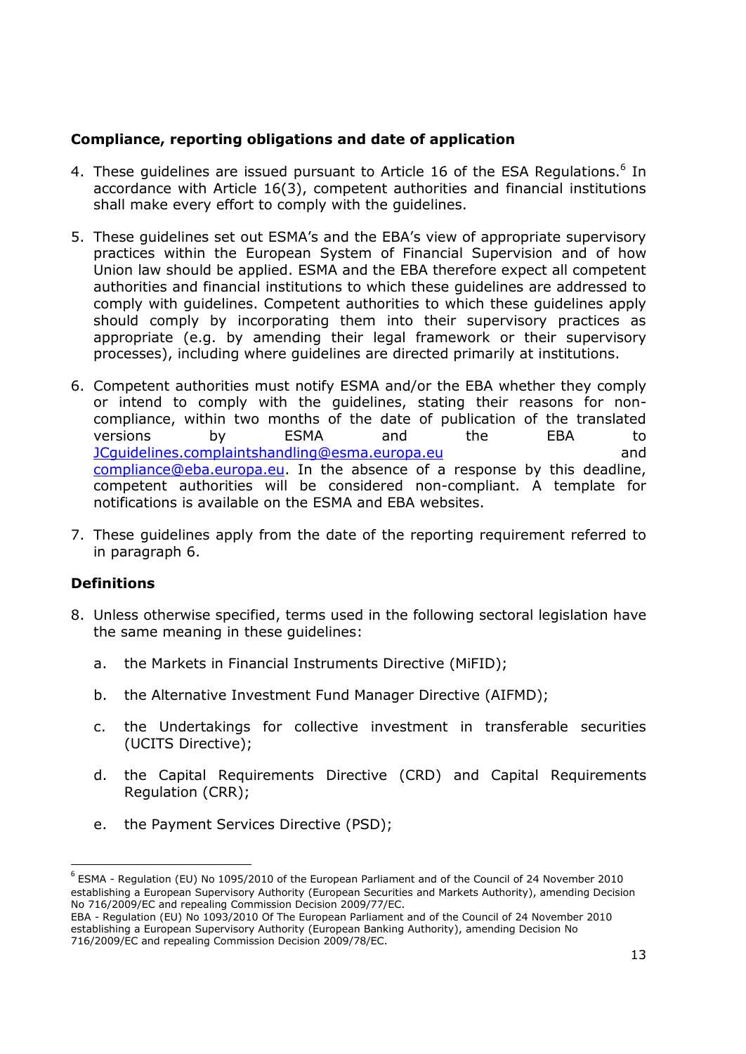# **Compliance, reporting obligations and date of application**

- 4. These guidelines are issued pursuant to Article 16 of the ESA Regulations. $<sup>6</sup>$  In</sup> accordance with Article 16(3), competent authorities and financial institutions shall make every effort to comply with the guidelines.
- 5. These guidelines set out ESMA's and the EBA's view of appropriate supervisory practices within the European System of Financial Supervision and of how Union law should be applied. ESMA and the EBA therefore expect all competent authorities and financial institutions to which these guidelines are addressed to comply with guidelines. Competent authorities to which these guidelines apply should comply by incorporating them into their supervisory practices as appropriate (e.g. by amending their legal framework or their supervisory processes), including where guidelines are directed primarily at institutions.
- 6. Competent authorities must notify ESMA and/or the EBA whether they comply or intend to comply with the guidelines, stating their reasons for noncompliance, within two months of the date of publication of the translated versions by ESMA and the EBA to [JCguidelines.complaintshandling@esma.europa.eu](mailto:JCguidelines.complaintshandling@esma.europa.eu) and [compliance@eba.europa.eu.](mailto:compliance@eba.europa.eu) In the absence of a response by this deadline, competent authorities will be considered non-compliant. A template for notifications is available on the ESMA and EBA websites.
- 7. These guidelines apply from the date of the reporting requirement referred to in paragraph 6.

# **Definitions**

-

- 8. Unless otherwise specified, terms used in the following sectoral legislation have the same meaning in these guidelines:
	- a. the Markets in Financial Instruments Directive (MiFID);
	- b. the Alternative Investment Fund Manager Directive (AIFMD);
	- c. the Undertakings for collective investment in transferable securities (UCITS Directive);
	- d. the Capital Requirements Directive (CRD) and Capital Requirements Regulation (CRR);
	- e. the Payment Services Directive (PSD);

<sup>6</sup> ESMA - Regulation (EU) No 1095/2010 of the European Parliament and of the Council of 24 November 2010 establishing a European Supervisory Authority (European Securities and Markets Authority), amending Decision No 716/2009/EC and repealing Commission Decision 2009/77/EC.

EBA - Regulation (EU) No 1093/2010 Of The European Parliament and of the Council of 24 November 2010 establishing a European Supervisory Authority (European Banking Authority), amending Decision No 716/2009/EC and repealing Commission Decision 2009/78/EC.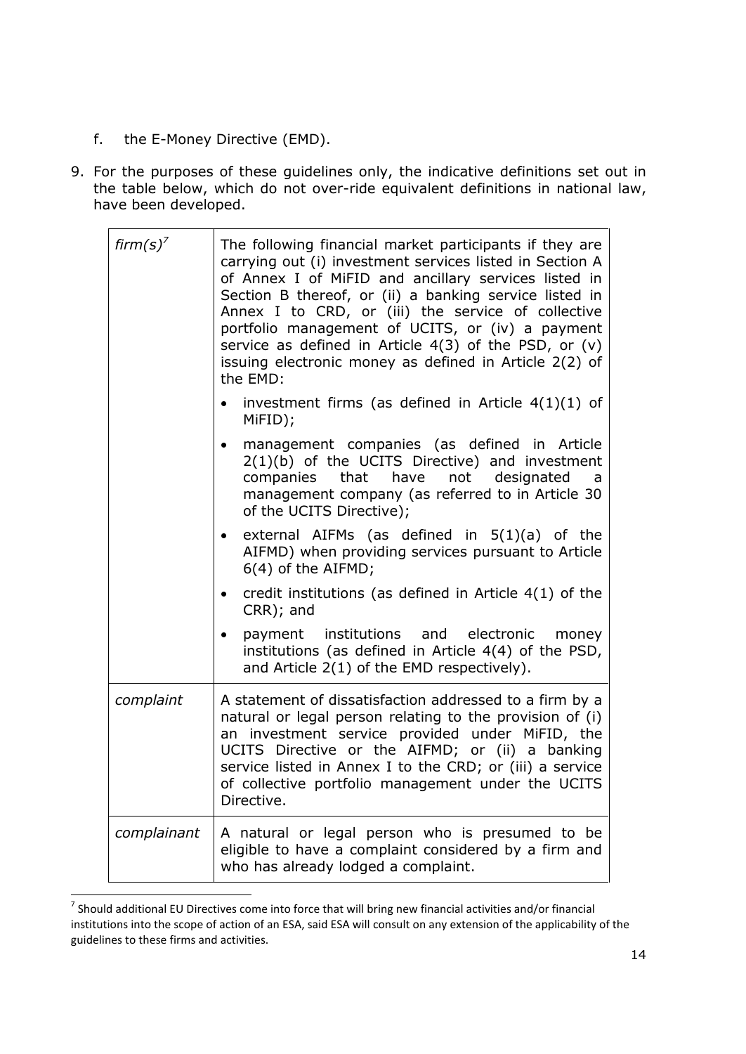- f. the E-Money Directive (EMD).
- 9. For the purposes of these guidelines only, the indicative definitions set out in the table below, which do not over-ride equivalent definitions in national law, have been developed.

| firm(s) <sup>7</sup> | The following financial market participants if they are<br>carrying out (i) investment services listed in Section A<br>of Annex I of MiFID and ancillary services listed in<br>Section B thereof, or (ii) a banking service listed in<br>Annex I to CRD, or (iii) the service of collective<br>portfolio management of UCITS, or (iv) a payment<br>service as defined in Article $4(3)$ of the PSD, or (v)<br>issuing electronic money as defined in Article 2(2) of<br>the EMD: |
|----------------------|----------------------------------------------------------------------------------------------------------------------------------------------------------------------------------------------------------------------------------------------------------------------------------------------------------------------------------------------------------------------------------------------------------------------------------------------------------------------------------|
|                      | investment firms (as defined in Article $4(1)(1)$ of<br>MiFID);                                                                                                                                                                                                                                                                                                                                                                                                                  |
|                      | management companies (as defined in Article<br>$2(1)(b)$ of the UCITS Directive) and investment<br>companies that have<br>not designated<br>a<br>management company (as referred to in Article 30<br>of the UCITS Directive);                                                                                                                                                                                                                                                    |
|                      | external AIFMs (as defined in $5(1)(a)$ of the<br>AIFMD) when providing services pursuant to Article<br>6(4) of the AIFMD;                                                                                                                                                                                                                                                                                                                                                       |
|                      | credit institutions (as defined in Article $4(1)$ of the<br>CRR); and                                                                                                                                                                                                                                                                                                                                                                                                            |
|                      | payment institutions and electronic money<br>institutions (as defined in Article 4(4) of the PSD,<br>and Article 2(1) of the EMD respectively).                                                                                                                                                                                                                                                                                                                                  |
| complaint            | A statement of dissatisfaction addressed to a firm by a<br>natural or legal person relating to the provision of (i)<br>an investment service provided under MiFID, the<br>UCITS Directive or the AIFMD; or (ii) a banking<br>service listed in Annex I to the CRD; or (iii) a service<br>of collective portfolio management under the UCITS<br>Directive.                                                                                                                        |
| complainant          | A natural or legal person who is presumed to be<br>eligible to have a complaint considered by a firm and<br>who has already lodged a complaint.                                                                                                                                                                                                                                                                                                                                  |

 7 Should additional EU Directives come into force that will bring new financial activities and/or financial institutions into the scope of action of an ESA, said ESA will consult on any extension of the applicability of the guidelines to these firms and activities.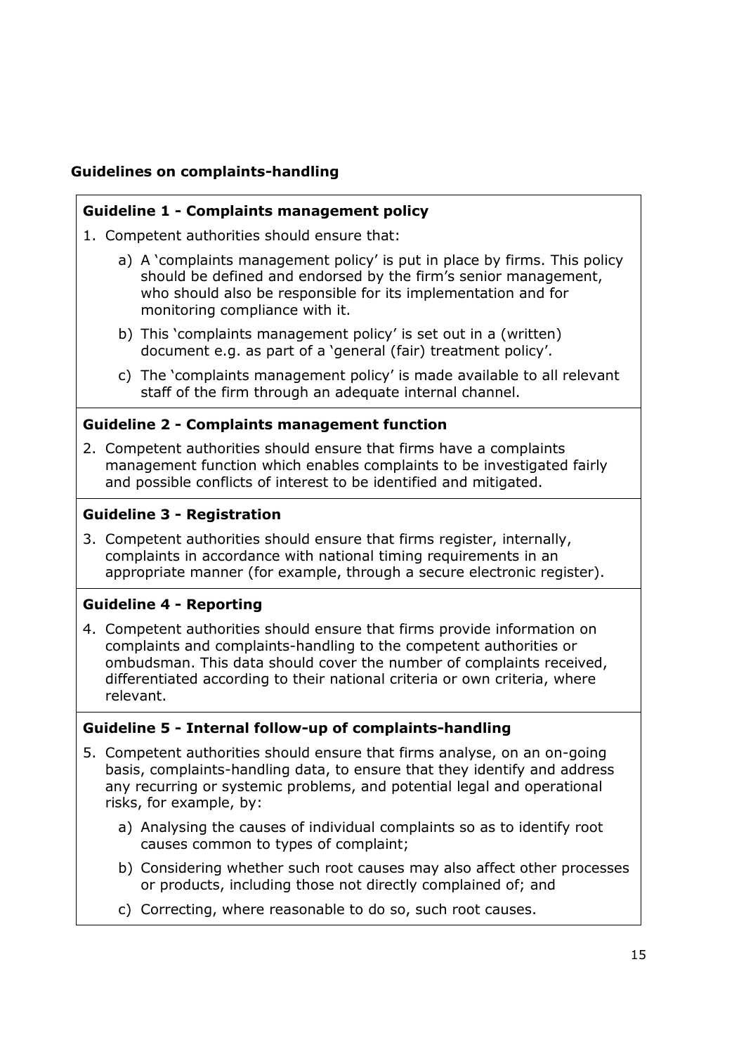# **Guidelines on complaints-handling**

# **Guideline 1 - Complaints management policy**

1. Competent authorities should ensure that:

- a) A 'complaints management policy' is put in place by firms. This policy should be defined and endorsed by the firm's senior management, who should also be responsible for its implementation and for monitoring compliance with it.
- b) This 'complaints management policy' is set out in a (written) document e.g. as part of a 'general (fair) treatment policy'.
- c) The 'complaints management policy' is made available to all relevant staff of the firm through an adequate internal channel.

# **Guideline 2 - Complaints management function**

2. Competent authorities should ensure that firms have a complaints management function which enables complaints to be investigated fairly and possible conflicts of interest to be identified and mitigated.

# **Guideline 3 - Registration**

3. Competent authorities should ensure that firms register, internally, complaints in accordance with national timing requirements in an appropriate manner (for example, through a secure electronic register).

# **Guideline 4 - Reporting**

4. Competent authorities should ensure that firms provide information on complaints and complaints-handling to the competent authorities or ombudsman. This data should cover the number of complaints received, differentiated according to their national criteria or own criteria, where relevant.

# **Guideline 5 - Internal follow-up of complaints-handling**

- 5. Competent authorities should ensure that firms analyse, on an on-going basis, complaints-handling data, to ensure that they identify and address any recurring or systemic problems, and potential legal and operational risks, for example, by:
	- a) Analysing the causes of individual complaints so as to identify root causes common to types of complaint;
	- b) Considering whether such root causes may also affect other processes or products, including those not directly complained of; and
	- c) Correcting, where reasonable to do so, such root causes.